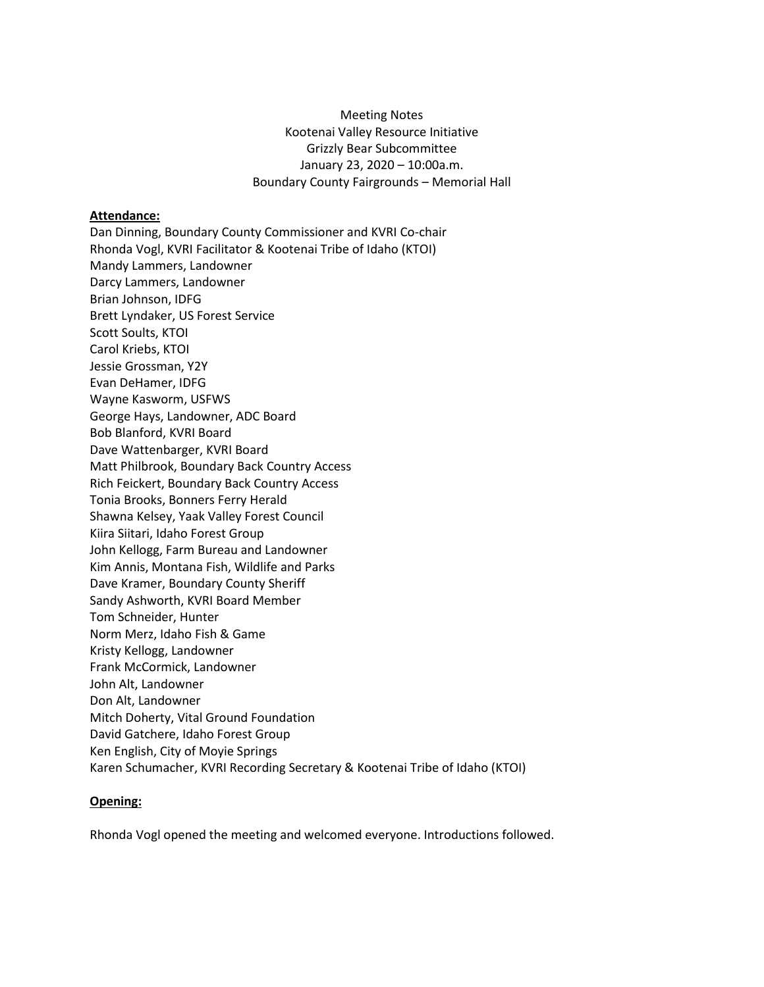## Meeting Notes Kootenai Valley Resource Initiative Grizzly Bear Subcommittee January 23, 2020 – 10:00a.m. Boundary County Fairgrounds – Memorial Hall

## **Attendance:**

Dan Dinning, Boundary County Commissioner and KVRI Co-chair Rhonda Vogl, KVRI Facilitator & Kootenai Tribe of Idaho (KTOI) Mandy Lammers, Landowner Darcy Lammers, Landowner Brian Johnson, IDFG Brett Lyndaker, US Forest Service Scott Soults, KTOI Carol Kriebs, KTOI Jessie Grossman, Y2Y Evan DeHamer, IDFG Wayne Kasworm, USFWS George Hays, Landowner, ADC Board Bob Blanford, KVRI Board Dave Wattenbarger, KVRI Board Matt Philbrook, Boundary Back Country Access Rich Feickert, Boundary Back Country Access Tonia Brooks, Bonners Ferry Herald Shawna Kelsey, Yaak Valley Forest Council Kiira Siitari, Idaho Forest Group John Kellogg, Farm Bureau and Landowner Kim Annis, Montana Fish, Wildlife and Parks Dave Kramer, Boundary County Sheriff Sandy Ashworth, KVRI Board Member Tom Schneider, Hunter Norm Merz, Idaho Fish & Game Kristy Kellogg, Landowner Frank McCormick, Landowner John Alt, Landowner Don Alt, Landowner Mitch Doherty, Vital Ground Foundation David Gatchere, Idaho Forest Group Ken English, City of Moyie Springs Karen Schumacher, KVRI Recording Secretary & Kootenai Tribe of Idaho (KTOI)

## **Opening:**

Rhonda Vogl opened the meeting and welcomed everyone. Introductions followed.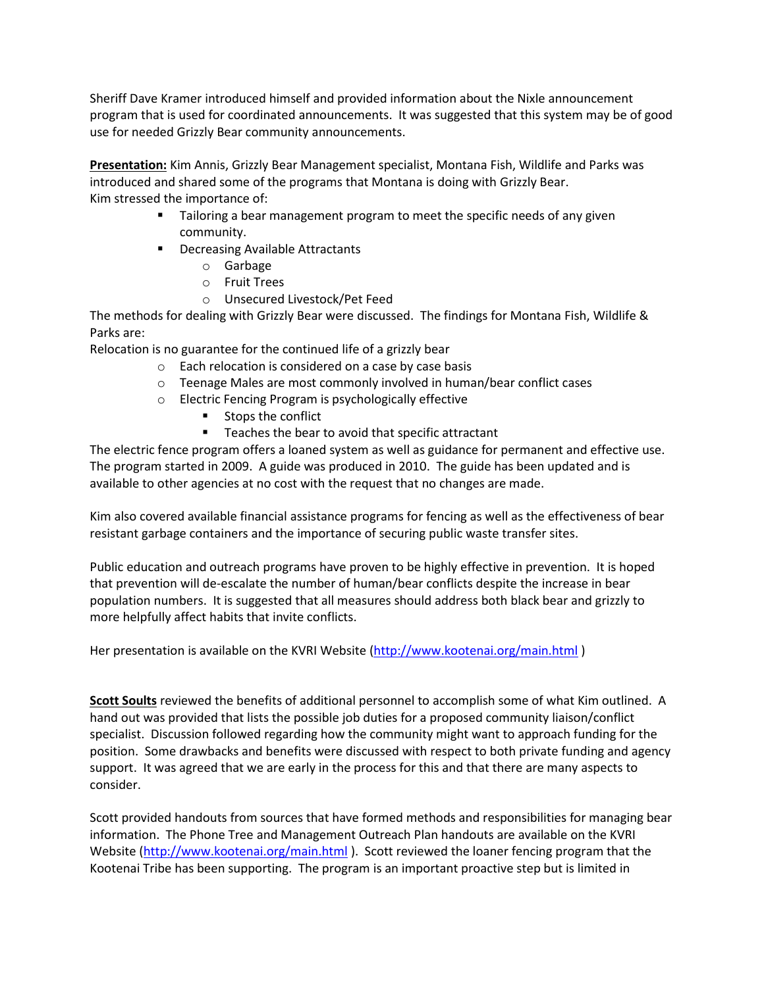Sheriff Dave Kramer introduced himself and provided information about the Nixle announcement program that is used for coordinated announcements. It was suggested that this system may be of good use for needed Grizzly Bear community announcements.

**Presentation:** Kim Annis, Grizzly Bear Management specialist, Montana Fish, Wildlife and Parks was introduced and shared some of the programs that Montana is doing with Grizzly Bear. Kim stressed the importance of:

- **■** Tailoring a bear management program to meet the specific needs of any given community.
- Decreasing Available Attractants
	- o Garbage
	- o Fruit Trees
	- o Unsecured Livestock/Pet Feed

The methods for dealing with Grizzly Bear were discussed. The findings for Montana Fish, Wildlife & Parks are:

Relocation is no guarantee for the continued life of a grizzly bear

- o Each relocation is considered on a case by case basis
- o Teenage Males are most commonly involved in human/bear conflict cases
- o Electric Fencing Program is psychologically effective
	- Stops the conflict
	- Teaches the bear to avoid that specific attractant

The electric fence program offers a loaned system as well as guidance for permanent and effective use. The program started in 2009. A guide was produced in 2010. The guide has been updated and is available to other agencies at no cost with the request that no changes are made.

Kim also covered available financial assistance programs for fencing as well as the effectiveness of bear resistant garbage containers and the importance of securing public waste transfer sites.

Public education and outreach programs have proven to be highly effective in prevention. It is hoped that prevention will de-escalate the number of human/bear conflicts despite the increase in bear population numbers. It is suggested that all measures should address both black bear and grizzly to more helpfully affect habits that invite conflicts.

Her presentation is available on the KVRI Website [\(http://www.kootenai.org/main.html](http://www.kootenai.org/main.html))

**Scott Soults** reviewed the benefits of additional personnel to accomplish some of what Kim outlined. A hand out was provided that lists the possible job duties for a proposed community liaison/conflict specialist. Discussion followed regarding how the community might want to approach funding for the position. Some drawbacks and benefits were discussed with respect to both private funding and agency support. It was agreed that we are early in the process for this and that there are many aspects to consider.

Scott provided handouts from sources that have formed methods and responsibilities for managing bear information. The Phone Tree and Management Outreach Plan handouts are available on the KVRI Website [\(http://www.kootenai.org/main.html](http://www.kootenai.org/main.html) ). Scott reviewed the loaner fencing program that the Kootenai Tribe has been supporting. The program is an important proactive step but is limited in